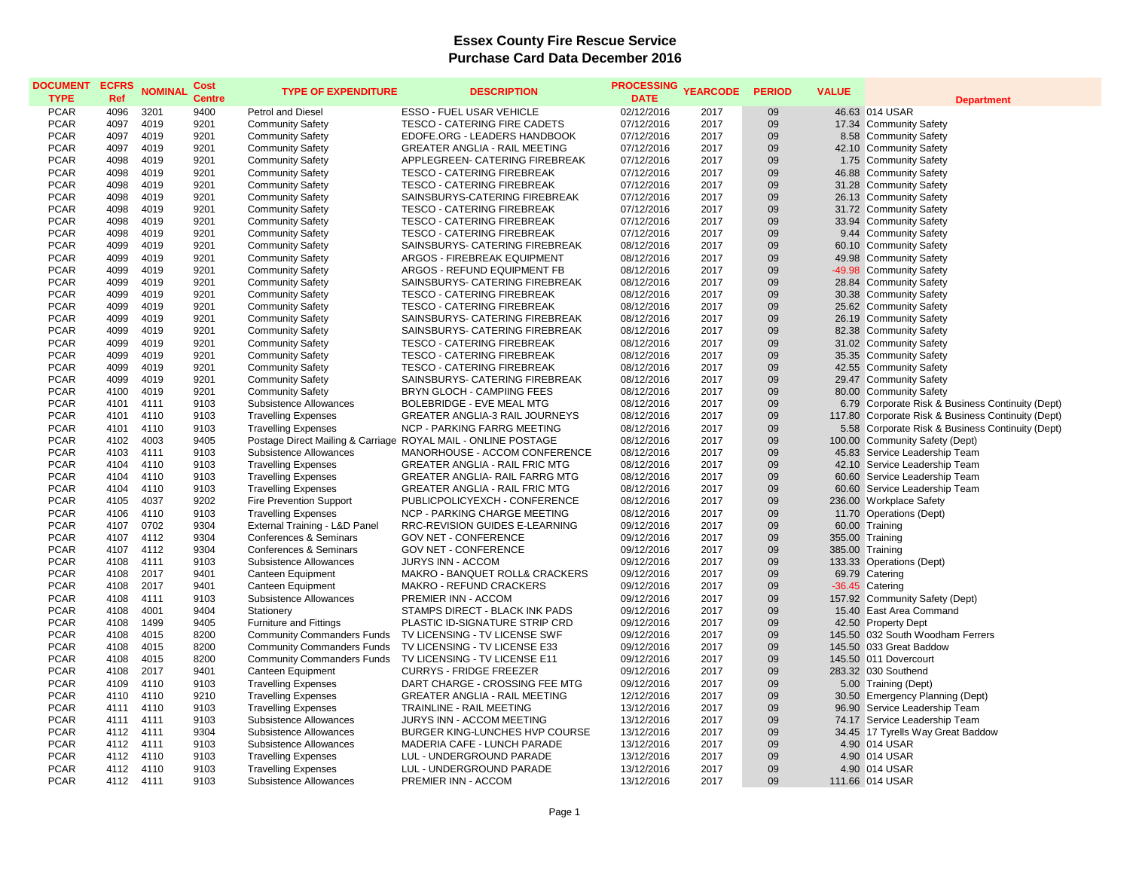| <b>DOCUMENT</b><br><b>TYPE</b> | <b>ECFRS</b><br>Ref | <b>NOMINAL</b> | Cost<br><b>Centre</b> | <b>TYPE OF EXPENDITURE</b>        | <b>DESCRIPTION</b>                                            | <b>PROCESSING</b><br><b>DATE</b> | <b>YEARCODE</b> | <b>PERIOD</b> | <b>VALUE</b> | <b>Department</b>                                  |
|--------------------------------|---------------------|----------------|-----------------------|-----------------------------------|---------------------------------------------------------------|----------------------------------|-----------------|---------------|--------------|----------------------------------------------------|
| <b>PCAR</b>                    | 4096                | 3201           | 9400                  | <b>Petrol and Diesel</b>          | <b>ESSO - FUEL USAR VEHICLE</b>                               | 02/12/2016                       | 2017            | 09            |              | 46.63 014 USAR                                     |
| <b>PCAR</b>                    | 4097                | 4019           | 9201                  | <b>Community Safety</b>           | TESCO - CATERING FIRE CADETS                                  | 07/12/2016                       | 2017            | 09            |              | 17.34 Community Safety                             |
| <b>PCAR</b>                    | 4097                | 4019           | 9201                  | <b>Community Safety</b>           | EDOFE.ORG - LEADERS HANDBOOK                                  | 07/12/2016                       | 2017            | 09            |              | 8.58 Community Safety                              |
| <b>PCAR</b>                    | 4097                | 4019           | 9201                  | <b>Community Safety</b>           | <b>GREATER ANGLIA - RAIL MEETING</b>                          | 07/12/2016                       | 2017            | 09            |              | 42.10 Community Safety                             |
| <b>PCAR</b>                    | 4098                | 4019           | 9201                  | <b>Community Safety</b>           | APPLEGREEN- CATERING FIREBREAK                                | 07/12/2016                       | 2017            | 09            |              | 1.75 Community Safety                              |
| <b>PCAR</b>                    | 4098                | 4019           | 9201                  | <b>Community Safety</b>           | <b>TESCO - CATERING FIREBREAK</b>                             | 07/12/2016                       | 2017            | 09            |              | 46.88 Community Safety                             |
| <b>PCAR</b>                    | 4098                | 4019           | 9201                  | <b>Community Safety</b>           | <b>TESCO - CATERING FIREBREAK</b>                             | 07/12/2016                       | 2017            | 09            |              | 31.28 Community Safety                             |
| <b>PCAR</b>                    | 4098                | 4019           | 9201                  | <b>Community Safety</b>           | SAINSBURYS-CATERING FIREBREAK                                 | 07/12/2016                       | 2017            | 09            |              | 26.13 Community Safety                             |
| <b>PCAR</b>                    | 4098                | 4019           | 9201                  | <b>Community Safety</b>           | <b>TESCO - CATERING FIREBREAK</b>                             | 07/12/2016                       | 2017            | 09            |              | 31.72 Community Safety                             |
| <b>PCAR</b>                    | 4098                | 4019           | 9201                  | <b>Community Safety</b>           | <b>TESCO - CATERING FIREBREAK</b>                             | 07/12/2016                       | 2017            | 09            |              | 33.94 Community Safety                             |
| <b>PCAR</b>                    | 4098                | 4019           | 9201                  | <b>Community Safety</b>           | TESCO - CATERING FIREBREAK                                    | 07/12/2016                       | 2017            | 09            |              | 9.44 Community Safety                              |
| <b>PCAR</b>                    | 4099                | 4019           | 9201                  | <b>Community Safety</b>           | SAINSBURYS- CATERING FIREBREAK                                | 08/12/2016                       | 2017            | 09            |              | 60.10 Community Safety                             |
| <b>PCAR</b>                    | 4099                | 4019           | 9201                  | <b>Community Safety</b>           | <b>ARGOS - FIREBREAK EQUIPMENT</b>                            | 08/12/2016                       | 2017            | 09            |              | 49.98 Community Safety                             |
| <b>PCAR</b>                    | 4099                | 4019           | 9201                  | <b>Community Safety</b>           | ARGOS - REFUND EQUIPMENT FB                                   | 08/12/2016                       | 2017            | 09            |              | -49.98 Community Safety                            |
| <b>PCAR</b>                    | 4099                | 4019           | 9201                  | <b>Community Safety</b>           | SAINSBURYS- CATERING FIREBREAK                                | 08/12/2016                       | 2017            | 09            |              | 28.84 Community Safety                             |
| <b>PCAR</b>                    | 4099                | 4019           | 9201                  | <b>Community Safety</b>           | <b>TESCO - CATERING FIREBREAK</b>                             | 08/12/2016                       | 2017            | 09            |              | 30.38 Community Safety                             |
| <b>PCAR</b>                    | 4099                | 4019           | 9201                  | <b>Community Safety</b>           | <b>TESCO - CATERING FIREBREAK</b>                             | 08/12/2016                       | 2017            | 09            |              | 25.62 Community Safety                             |
| <b>PCAR</b>                    | 4099                | 4019           | 9201                  | <b>Community Safety</b>           | SAINSBURYS- CATERING FIREBREAK                                | 08/12/2016                       | 2017            | 09            |              | 26.19 Community Safety                             |
| <b>PCAR</b>                    | 4099                | 4019           | 9201                  | <b>Community Safety</b>           | SAINSBURYS- CATERING FIREBREAK                                | 08/12/2016                       | 2017            | 09            |              | 82.38 Community Safety                             |
| <b>PCAR</b>                    | 4099                | 4019           | 9201                  | <b>Community Safety</b>           | TESCO - CATERING FIREBREAK                                    | 08/12/2016                       | 2017            | 09            |              | 31.02 Community Safety                             |
| <b>PCAR</b>                    | 4099                | 4019           | 9201                  | <b>Community Safety</b>           | <b>TESCO - CATERING FIREBREAK</b>                             | 08/12/2016                       | 2017            | 09            |              | 35.35 Community Safety                             |
| <b>PCAR</b>                    | 4099                | 4019           | 9201                  | <b>Community Safety</b>           | <b>TESCO - CATERING FIREBREAK</b>                             | 08/12/2016                       | 2017            | 09            |              | 42.55 Community Safety                             |
| <b>PCAR</b>                    | 4099                | 4019           | 9201                  | <b>Community Safety</b>           | SAINSBURYS- CATERING FIREBREAK                                | 08/12/2016                       | 2017            | 09            |              | 29.47 Community Safety                             |
| <b>PCAR</b>                    | 4100                | 4019           | 9201                  | <b>Community Safety</b>           | BRYN GLOCH - CAMPIING FEES                                    | 08/12/2016                       | 2017            | 09            |              | 80.00 Community Safety                             |
| <b>PCAR</b>                    | 4101                | 4111           | 9103                  | Subsistence Allowances            | BOLEBRIDGE - EVE MEAL MTG                                     | 08/12/2016                       | 2017            | 09            |              | 6.79 Corporate Risk & Business Continuity (Dept)   |
| <b>PCAR</b>                    | 4101                | 4110           | 9103                  | <b>Travelling Expenses</b>        | <b>GREATER ANGLIA-3 RAIL JOURNEYS</b>                         | 08/12/2016                       | 2017            | 09            |              | 117.80 Corporate Risk & Business Continuity (Dept) |
| <b>PCAR</b>                    | 4101                | 4110           | 9103                  | <b>Travelling Expenses</b>        | NCP - PARKING FARRG MEETING                                   | 08/12/2016                       | 2017            | 09            |              | 5.58 Corporate Risk & Business Continuity (Dept)   |
| <b>PCAR</b>                    | 4102                | 4003           | 9405                  |                                   | Postage Direct Mailing & Carriage ROYAL MAIL - ONLINE POSTAGE | 08/12/2016                       | 2017            | 09            |              | 100.00 Community Safety (Dept)                     |
| <b>PCAR</b>                    | 4103                | 4111           | 9103                  | Subsistence Allowances            | MANORHOUSE - ACCOM CONFERENCE                                 | 08/12/2016                       | 2017            | 09            |              | 45.83 Service Leadership Team                      |
| <b>PCAR</b>                    | 4104                | 4110           | 9103                  | <b>Travelling Expenses</b>        | <b>GREATER ANGLIA - RAIL FRIC MTG</b>                         | 08/12/2016                       | 2017            | 09            |              | 42.10 Service Leadership Team                      |
| <b>PCAR</b>                    | 4104                | 4110           | 9103                  | <b>Travelling Expenses</b>        | GREATER ANGLIA- RAIL FARRG MTG                                | 08/12/2016                       | 2017            | 09            |              | 60.60 Service Leadership Team                      |
| <b>PCAR</b>                    | 4104                | 4110           | 9103                  | <b>Travelling Expenses</b>        | <b>GREATER ANGLIA - RAIL FRIC MTG</b>                         | 08/12/2016                       | 2017            | 09            |              | 60.60 Service Leadership Team                      |
| <b>PCAR</b>                    | 4105                | 4037           | 9202                  | <b>Fire Prevention Support</b>    | PUBLICPOLICYEXCH - CONFERENCE                                 | 08/12/2016                       | 2017            | 09            |              | 236.00 Workplace Safety                            |
| <b>PCAR</b>                    | 4106                | 4110           | 9103                  | <b>Travelling Expenses</b>        | <b>NCP - PARKING CHARGE MEETING</b>                           | 08/12/2016                       | 2017            | 09            |              | 11.70 Operations (Dept)                            |
| <b>PCAR</b>                    | 4107                | 0702           | 9304                  | External Training - L&D Panel     | RRC-REVISION GUIDES E-LEARNING                                | 09/12/2016                       | 2017            | 09            |              | 60.00 Training                                     |
| <b>PCAR</b>                    | 4107                | 4112           | 9304                  | Conferences & Seminars            | <b>GOV NET - CONFERENCE</b>                                   | 09/12/2016                       | 2017            | 09            |              | 355.00 Training                                    |
| <b>PCAR</b>                    | 4107                | 4112           | 9304                  | Conferences & Seminars            | <b>GOV NET - CONFERENCE</b>                                   | 09/12/2016                       | 2017            | 09            |              | 385.00 Training                                    |
| <b>PCAR</b>                    | 4108                | 4111           | 9103                  | Subsistence Allowances            | <b>JURYS INN - ACCOM</b>                                      | 09/12/2016                       | 2017            | 09            |              | 133.33 Operations (Dept)                           |
| <b>PCAR</b>                    | 4108                | 2017           | 9401                  | Canteen Equipment                 | MAKRO - BANQUET ROLL& CRACKERS                                | 09/12/2016                       | 2017            | 09            |              | 69.79 Catering                                     |
| <b>PCAR</b>                    | 4108                | 2017           | 9401                  | Canteen Equipment                 | MAKRO - REFUND CRACKERS                                       | 09/12/2016                       | 2017            | 09            |              | -36.45 Catering                                    |
| <b>PCAR</b>                    | 4108                | 4111           | 9103                  | Subsistence Allowances            | PREMIER INN - ACCOM                                           | 09/12/2016                       | 2017            | 09            |              | 157.92 Community Safety (Dept)                     |
| <b>PCAR</b>                    | 4108                | 4001           | 9404                  | Stationery                        | STAMPS DIRECT - BLACK INK PADS                                | 09/12/2016                       | 2017            | 09            |              | 15.40 East Area Command                            |
| <b>PCAR</b>                    | 4108                | 1499           | 9405                  | <b>Furniture and Fittings</b>     | PLASTIC ID-SIGNATURE STRIP CRD                                | 09/12/2016                       | 2017            | 09            |              | 42.50 Property Dept                                |
| <b>PCAR</b>                    | 4108                | 4015           | 8200                  | <b>Community Commanders Funds</b> | TV LICENSING - TV LICENSE SWF                                 | 09/12/2016                       | 2017            | 09            |              | 145.50 032 South Woodham Ferrers                   |
| <b>PCAR</b>                    | 4108                | 4015           | 8200                  | <b>Community Commanders Funds</b> | TV LICENSING - TV LICENSE E33                                 | 09/12/2016                       | 2017            | 09            |              | 145.50 033 Great Baddow                            |
| <b>PCAR</b>                    | 4108                | 4015           | 8200                  | <b>Community Commanders Funds</b> | TV LICENSING - TV LICENSE E11                                 | 09/12/2016                       | 2017            | 09            |              | 145.50 011 Dovercourt                              |
| <b>PCAR</b>                    | 4108                | 2017           | 9401                  | Canteen Equipment                 | <b>CURRYS - FRIDGE FREEZER</b>                                | 09/12/2016                       | 2017            | 09            |              | 283.32 030 Southend                                |
| <b>PCAR</b>                    | 4109                | 4110           | 9103                  | <b>Travelling Expenses</b>        | DART CHARGE - CROSSING FEE MTG                                | 09/12/2016                       | 2017            | 09            |              | 5.00 Training (Dept)                               |
| <b>PCAR</b>                    | 4110                | 4110           | 9210                  | <b>Travelling Expenses</b>        | <b>GREATER ANGLIA - RAIL MEETING</b>                          | 12/12/2016                       | 2017            | 09            |              | 30.50 Emergency Planning (Dept)                    |
| <b>PCAR</b>                    | 4111                | 4110           | 9103                  | <b>Travelling Expenses</b>        | TRAINLINE - RAIL MEETING                                      | 13/12/2016                       | 2017            | 09            |              | 96.90 Service Leadership Team                      |
| <b>PCAR</b>                    | 4111                | 4111           | 9103                  | Subsistence Allowances            | JURYS INN - ACCOM MEETING                                     | 13/12/2016                       | 2017            | 09            |              | 74.17 Service Leadership Team                      |
| <b>PCAR</b>                    | 4112                | 4111           | 9304                  | Subsistence Allowances            | BURGER KING-LUNCHES HVP COURSE                                | 13/12/2016                       | 2017            | 09            |              | 34.45 17 Tyrells Way Great Baddow                  |
| <b>PCAR</b>                    | 4112                | 4111           | 9103                  | <b>Subsistence Allowances</b>     | MADERIA CAFE - LUNCH PARADE                                   | 13/12/2016                       | 2017            | 09            |              | 4.90 014 USAR                                      |
| <b>PCAR</b>                    | 4112                | 4110           | 9103                  | <b>Travelling Expenses</b>        | LUL - UNDERGROUND PARADE                                      | 13/12/2016                       | 2017            | 09            |              | 4.90 014 USAR                                      |
| <b>PCAR</b>                    | 4112                | 4110           | 9103                  | <b>Travelling Expenses</b>        | LUL - UNDERGROUND PARADE                                      | 13/12/2016                       | 2017            | 09            |              | 4.90 014 USAR                                      |
| <b>PCAR</b>                    | 4112                | 4111           | 9103                  | Subsistence Allowances            | PREMIER INN - ACCOM                                           | 13/12/2016                       | 2017            | 09            |              | 111.66 014 USAR                                    |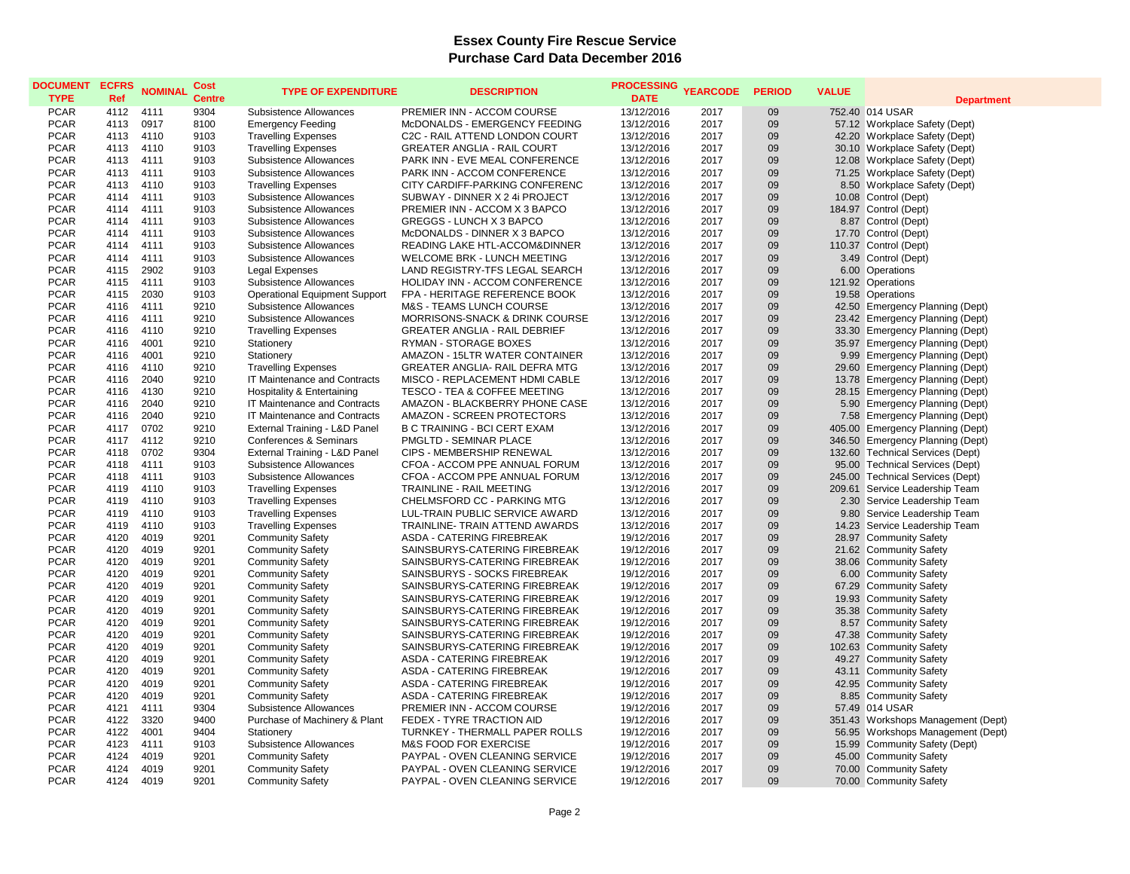| <b>DOCUMENT</b><br><b>TYPE</b> | <b>ECFRS</b><br>Ref | <b>NOMINAL</b> | Cost<br><b>Centre</b> | <b>TYPE OF EXPENDITURE</b>                        | <b>DESCRIPTION</b>                                                 | <b>PROCESSING</b><br><b>DATE</b> | <b>YEARCODE</b> | <b>PERIOD</b> | <b>VALUE</b> | <b>Department</b>                                       |
|--------------------------------|---------------------|----------------|-----------------------|---------------------------------------------------|--------------------------------------------------------------------|----------------------------------|-----------------|---------------|--------------|---------------------------------------------------------|
| <b>PCAR</b>                    | 4112                | 4111           | 9304                  | Subsistence Allowances                            | PREMIER INN - ACCOM COURSE                                         | 13/12/2016                       | 2017            | 09            |              | 752.40 014 USAR                                         |
| <b>PCAR</b>                    | 4113                | 0917           | 8100                  | <b>Emergency Feeding</b>                          | McDONALDS - EMERGENCY FEEDING                                      | 13/12/2016                       | 2017            | 09            |              | 57.12 Workplace Safety (Dept)                           |
| <b>PCAR</b>                    | 4113                | 4110           | 9103                  | <b>Travelling Expenses</b>                        | C2C - RAIL ATTEND LONDON COURT                                     | 13/12/2016                       | 2017            | 09            |              | 42.20 Workplace Safety (Dept)                           |
| <b>PCAR</b>                    | 4113                | 4110           | 9103                  | <b>Travelling Expenses</b>                        | <b>GREATER ANGLIA - RAIL COURT</b>                                 | 13/12/2016                       | 2017            | 09            |              | 30.10 Workplace Safety (Dept)                           |
| <b>PCAR</b>                    | 4113                | 4111           | 9103                  | Subsistence Allowances                            | PARK INN - EVE MEAL CONFERENCE                                     | 13/12/2016                       | 2017            | 09            |              | 12.08 Workplace Safety (Dept)                           |
| <b>PCAR</b>                    | 4113                | 4111           | 9103                  | Subsistence Allowances                            | PARK INN - ACCOM CONFERENCE                                        | 13/12/2016                       | 2017            | 09            |              | 71.25 Workplace Safety (Dept)                           |
| <b>PCAR</b>                    | 4113                | 4110           | 9103                  | <b>Travelling Expenses</b>                        | CITY CARDIFF-PARKING CONFERENC                                     | 13/12/2016                       | 2017            | 09            |              | 8.50 Workplace Safety (Dept)                            |
| <b>PCAR</b>                    | 4114                | 4111           | 9103                  | Subsistence Allowances                            | SUBWAY - DINNER X 2 4i PROJECT                                     | 13/12/2016                       | 2017            | 09            |              | 10.08 Control (Dept)                                    |
| <b>PCAR</b>                    | 4114                | 4111           | 9103                  | Subsistence Allowances                            | PREMIER INN - ACCOM X 3 BAPCO                                      | 13/12/2016                       | 2017            | 09            |              | 184.97 Control (Dept)                                   |
| <b>PCAR</b>                    | 4114                | 4111           | 9103                  | Subsistence Allowances                            | GREGGS - LUNCH X 3 BAPCO                                           | 13/12/2016                       | 2017            | 09            |              | 8.87 Control (Dept)                                     |
| <b>PCAR</b>                    | 4114                | 4111           | 9103                  | Subsistence Allowances                            | McDONALDS - DINNER X 3 BAPCO                                       | 13/12/2016                       | 2017            | 09            |              | 17.70 Control (Dept)                                    |
| <b>PCAR</b>                    | 4114                | 4111           | 9103                  | Subsistence Allowances                            | READING LAKE HTL-ACCOM&DINNER                                      | 13/12/2016                       | 2017            | 09            |              | 110.37 Control (Dept)                                   |
| <b>PCAR</b>                    | 4114                | 4111           | 9103                  | Subsistence Allowances                            | WELCOME BRK - LUNCH MEETING                                        | 13/12/2016                       | 2017            | 09            |              | 3.49 Control (Dept)                                     |
| <b>PCAR</b>                    | 4115                | 2902           | 9103                  | <b>Legal Expenses</b>                             | LAND REGISTRY-TFS LEGAL SEARCH                                     | 13/12/2016                       | 2017            | 09            |              | 6.00 Operations                                         |
| <b>PCAR</b>                    | 4115                | 4111           | 9103                  | Subsistence Allowances                            | HOLIDAY INN - ACCOM CONFERENCE                                     | 13/12/2016                       | 2017            | 09            |              | 121.92 Operations                                       |
| <b>PCAR</b>                    | 4115                | 2030           | 9103                  | <b>Operational Equipment Support</b>              | FPA - HERITAGE REFERENCE BOOK                                      | 13/12/2016                       | 2017            | 09            |              | 19.58 Operations                                        |
| <b>PCAR</b>                    | 4116                | 4111           | 9210                  | Subsistence Allowances                            | M&S - TEAMS LUNCH COURSE                                           | 13/12/2016                       | 2017            | 09            |              | 42.50 Emergency Planning (Dept)                         |
| <b>PCAR</b>                    | 4116                | 4111           | 9210                  | Subsistence Allowances                            | MORRISONS-SNACK & DRINK COURSE                                     | 13/12/2016                       | 2017            | 09            |              | 23.42 Emergency Planning (Dept)                         |
| <b>PCAR</b>                    | 4116                | 4110           | 9210                  | <b>Travelling Expenses</b>                        | <b>GREATER ANGLIA - RAIL DEBRIEF</b>                               | 13/12/2016                       | 2017            | 09            |              | 33.30 Emergency Planning (Dept)                         |
| <b>PCAR</b>                    | 4116                | 4001           | 9210                  | Stationery                                        | RYMAN - STORAGE BOXES                                              | 13/12/2016                       | 2017            | 09            |              | 35.97 Emergency Planning (Dept)                         |
| <b>PCAR</b>                    | 4116                | 4001           | 9210                  | Stationery                                        | AMAZON - 15LTR WATER CONTAINER                                     | 13/12/2016                       | 2017            | 09            |              | 9.99 Emergency Planning (Dept)                          |
| <b>PCAR</b>                    | 4116                | 4110           | 9210                  | <b>Travelling Expenses</b>                        | GREATER ANGLIA- RAIL DEFRA MTG                                     | 13/12/2016                       | 2017            | 09            |              | 29.60 Emergency Planning (Dept)                         |
| <b>PCAR</b>                    | 4116                | 2040           | 9210                  | <b>IT Maintenance and Contracts</b>               | MISCO - REPLACEMENT HDMI CABLE                                     | 13/12/2016                       | 2017            | 09            |              | 13.78 Emergency Planning (Dept)                         |
| <b>PCAR</b>                    | 4116                | 4130           | 9210                  | Hospitality & Entertaining                        | TESCO - TEA & COFFEE MEETING                                       | 13/12/2016                       | 2017            | 09            |              | 28.15 Emergency Planning (Dept)                         |
| <b>PCAR</b>                    | 4116                | 2040           | 9210                  | IT Maintenance and Contracts                      | AMAZON - BLACKBERRY PHONE CASE                                     | 13/12/2016                       | 2017            | 09            |              | 5.90 Emergency Planning (Dept)                          |
| <b>PCAR</b>                    | 4116                | 2040           | 9210                  | IT Maintenance and Contracts                      | AMAZON - SCREEN PROTECTORS                                         | 13/12/2016                       | 2017            | 09            |              | 7.58 Emergency Planning (Dept)                          |
| <b>PCAR</b>                    | 4117                | 0702           | 9210                  | External Training - L&D Panel                     | <b>B C TRAINING - BCI CERT EXAM</b>                                | 13/12/2016                       | 2017            | 09            |              | 405.00 Emergency Planning (Dept)                        |
| <b>PCAR</b>                    | 4117                | 4112           | 9210                  | Conferences & Seminars                            | PMGLTD - SEMINAR PLACE                                             | 13/12/2016                       | 2017            | 09            |              | 346.50 Emergency Planning (Dept)                        |
| <b>PCAR</b>                    | 4118                | 0702           | 9304                  | External Training - L&D Panel                     | CIPS - MEMBERSHIP RENEWAL                                          | 13/12/2016                       | 2017            | 09            |              | 132.60 Technical Services (Dept)                        |
| <b>PCAR</b>                    | 4118                | 4111           | 9103                  | Subsistence Allowances                            | CFOA - ACCOM PPE ANNUAL FORUM                                      | 13/12/2016                       | 2017            | 09            |              | 95.00 Technical Services (Dept)                         |
| <b>PCAR</b>                    | 4118                | 4111           | 9103                  | Subsistence Allowances                            | CFOA - ACCOM PPE ANNUAL FORUM                                      | 13/12/2016                       | 2017            | 09            |              | 245.00 Technical Services (Dept)                        |
| <b>PCAR</b>                    | 4119                | 4110           | 9103                  | <b>Travelling Expenses</b>                        | <b>TRAINLINE - RAIL MEETING</b>                                    | 13/12/2016                       | 2017            | 09            |              | 209.61 Service Leadership Team                          |
| <b>PCAR</b>                    | 4119                | 4110           | 9103                  | <b>Travelling Expenses</b>                        | CHELMSFORD CC - PARKING MTG                                        | 13/12/2016                       | 2017            | 09            |              | 2.30 Service Leadership Team                            |
| <b>PCAR</b>                    | 4119                | 4110           | 9103                  | <b>Travelling Expenses</b>                        | LUL-TRAIN PUBLIC SERVICE AWARD                                     | 13/12/2016                       | 2017            | 09            |              | 9.80 Service Leadership Team                            |
| <b>PCAR</b>                    | 4119                | 4110           | 9103                  | <b>Travelling Expenses</b>                        | TRAINLINE- TRAIN ATTEND AWARDS                                     | 13/12/2016                       | 2017            | 09            |              | 14.23 Service Leadership Team                           |
| <b>PCAR</b>                    | 4120                | 4019           | 9201                  | <b>Community Safety</b>                           | ASDA - CATERING FIREBREAK                                          | 19/12/2016                       | 2017            | 09            |              | 28.97 Community Safety                                  |
| <b>PCAR</b>                    | 4120                | 4019           | 9201                  | <b>Community Safety</b>                           | SAINSBURYS-CATERING FIREBREAK                                      | 19/12/2016                       | 2017            | 09            |              | 21.62 Community Safety                                  |
| <b>PCAR</b>                    | 4120                | 4019           | 9201                  | <b>Community Safety</b>                           | SAINSBURYS-CATERING FIREBREAK                                      | 19/12/2016                       | 2017            | 09            |              | 38.06 Community Safety                                  |
| <b>PCAR</b>                    | 4120                | 4019           | 9201                  | <b>Community Safety</b>                           | SAINSBURYS - SOCKS FIREBREAK                                       | 19/12/2016                       | 2017            | 09            |              | 6.00 Community Safety                                   |
| <b>PCAR</b>                    | 4120                | 4019           | 9201                  | <b>Community Safety</b>                           | SAINSBURYS-CATERING FIREBREAK                                      | 19/12/2016                       | 2017            | 09            |              | 67.29 Community Safety                                  |
| <b>PCAR</b>                    | 4120                | 4019           | 9201                  | <b>Community Safety</b>                           | SAINSBURYS-CATERING FIREBREAK                                      | 19/12/2016                       | 2017            | 09            |              | 19.93 Community Safety                                  |
| <b>PCAR</b>                    | 4120                | 4019           | 9201                  | <b>Community Safety</b>                           | SAINSBURYS-CATERING FIREBREAK                                      | 19/12/2016                       | 2017            | 09            |              | 35.38 Community Safety                                  |
| <b>PCAR</b>                    | 4120                | 4019           | 9201                  | <b>Community Safety</b>                           | SAINSBURYS-CATERING FIREBREAK                                      | 19/12/2016                       | 2017            | 09            |              | 8.57 Community Safety                                   |
| <b>PCAR</b>                    | 4120                | 4019           | 9201                  | <b>Community Safety</b>                           | SAINSBURYS-CATERING FIREBREAK                                      | 19/12/2016                       | 2017            | 09            |              | 47.38 Community Safety                                  |
| <b>PCAR</b>                    | 4120                | 4019           | 9201                  | <b>Community Safety</b>                           | SAINSBURYS-CATERING FIREBREAK                                      | 19/12/2016                       | 2017            | 09            |              | 102.63 Community Safety                                 |
| <b>PCAR</b>                    | 4120                | 4019           | 9201                  | <b>Community Safety</b>                           | ASDA - CATERING FIREBREAK                                          | 19/12/2016                       | 2017            | 09            |              | 49.27 Community Safety                                  |
| <b>PCAR</b><br><b>PCAR</b>     | 4120                | 4019<br>4019   | 9201<br>9201          | <b>Community Safety</b>                           | ASDA - CATERING FIREBREAK                                          | 19/12/2016                       | 2017            | 09<br>09      |              | 43.11 Community Safety                                  |
| <b>PCAR</b>                    | 4120                | 4019           | 9201                  | <b>Community Safety</b>                           | ASDA - CATERING FIREBREAK<br>ASDA - CATERING FIREBREAK             | 19/12/2016                       | 2017<br>2017    | 09            |              | 42.95 Community Safety                                  |
|                                | 4120                |                |                       | <b>Community Safety</b>                           |                                                                    | 19/12/2016                       |                 |               |              | 8.85 Community Safety                                   |
| <b>PCAR</b><br><b>PCAR</b>     | 4121<br>4122        | 4111<br>3320   | 9304<br>9400          | Subsistence Allowances                            | PREMIER INN - ACCOM COURSE<br>FEDEX - TYRE TRACTION AID            | 19/12/2016                       | 2017            | 09<br>09      |              | 57.49 014 USAR                                          |
|                                |                     |                | 9404                  | Purchase of Machinery & Plant                     |                                                                    | 19/12/2016                       | 2017<br>2017    | 09            |              | 351.43 Workshops Management (Dept)                      |
| <b>PCAR</b>                    | 4122                | 4001<br>4111   |                       | Stationery                                        | TURNKEY - THERMALL PAPER ROLLS<br><b>M&amp;S FOOD FOR EXERCISE</b> | 19/12/2016                       |                 |               |              | 56.95 Workshops Management (Dept)                       |
| <b>PCAR</b><br><b>PCAR</b>     | 4123<br>4124        | 4019           | 9103<br>9201          | Subsistence Allowances<br><b>Community Safety</b> | PAYPAL - OVEN CLEANING SERVICE                                     | 19/12/2016<br>19/12/2016         | 2017<br>2017    | 09<br>09      |              | 15.99 Community Safety (Dept)<br>45.00 Community Safety |
| <b>PCAR</b>                    | 4124                | 4019           | 9201                  | <b>Community Safety</b>                           | PAYPAL - OVEN CLEANING SERVICE                                     | 19/12/2016                       | 2017            | 09            |              | 70.00 Community Safety                                  |
| <b>PCAR</b>                    | 4124                | 4019           | 9201                  | <b>Community Safety</b>                           | PAYPAL - OVEN CLEANING SERVICE                                     | 19/12/2016                       | 2017            | 09            |              |                                                         |
|                                |                     |                |                       |                                                   |                                                                    |                                  |                 |               |              | 70.00 Community Safety                                  |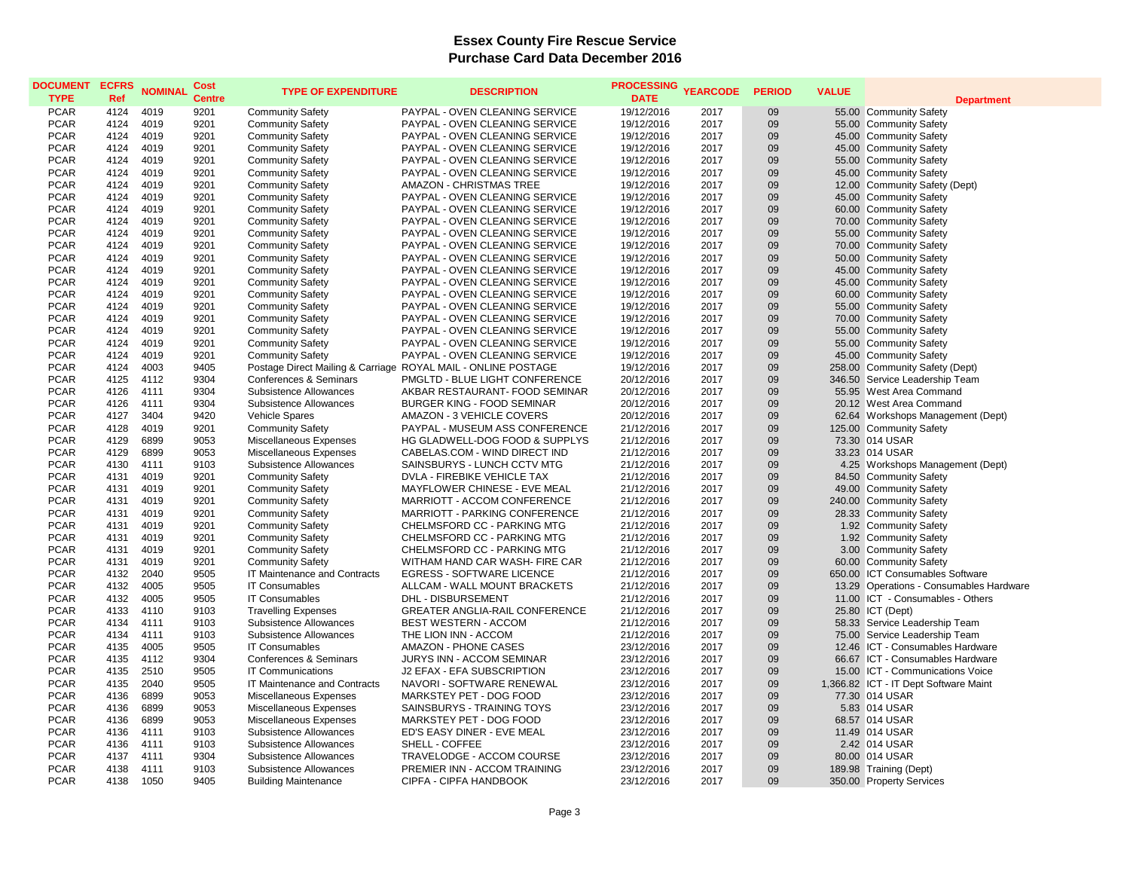| <b>DOCUMENT</b><br><b>TYPE</b> | <b>ECFRS</b><br>Ref | <b>NOMINAL</b> | Cost<br><b>Centre</b> | <b>TYPE OF EXPENDITURE</b>        | <b>DESCRIPTION</b>                                            | <b>PROCESSING</b><br><b>DATE</b> | <b>YEARCODE</b> | <b>PERIOD</b> | <b>VALUE</b> | <b>Department</b>                       |
|--------------------------------|---------------------|----------------|-----------------------|-----------------------------------|---------------------------------------------------------------|----------------------------------|-----------------|---------------|--------------|-----------------------------------------|
| <b>PCAR</b>                    | 4124                | 4019           | 9201                  | <b>Community Safety</b>           | PAYPAL - OVEN CLEANING SERVICE                                | 19/12/2016                       | 2017            | 09            |              | 55.00 Community Safety                  |
| <b>PCAR</b>                    | 4124                | 4019           | 9201                  | <b>Community Safety</b>           | PAYPAL - OVEN CLEANING SERVICE                                | 19/12/2016                       | 2017            | 09            |              | 55.00 Community Safety                  |
| <b>PCAR</b>                    | 4124                | 4019           | 9201                  | <b>Community Safety</b>           | PAYPAL - OVEN CLEANING SERVICE                                | 19/12/2016                       | 2017            | 09            |              | 45.00 Community Safety                  |
| <b>PCAR</b>                    | 4124                | 4019           | 9201                  | <b>Community Safety</b>           | PAYPAL - OVEN CLEANING SERVICE                                | 19/12/2016                       | 2017            | 09            |              | 45.00 Community Safety                  |
| <b>PCAR</b>                    | 4124                | 4019           | 9201                  | <b>Community Safety</b>           | PAYPAL - OVEN CLEANING SERVICE                                | 19/12/2016                       | 2017            | 09            |              | 55.00 Community Safety                  |
| <b>PCAR</b>                    | 4124                | 4019           | 9201                  | <b>Community Safety</b>           | PAYPAL - OVEN CLEANING SERVICE                                | 19/12/2016                       | 2017            | 09            |              | 45.00 Community Safety                  |
| <b>PCAR</b>                    | 4124                | 4019           | 9201                  | <b>Community Safety</b>           | AMAZON - CHRISTMAS TREE                                       | 19/12/2016                       | 2017            | 09            |              | 12.00 Community Safety (Dept)           |
| <b>PCAR</b>                    | 4124                | 4019           | 9201                  | <b>Community Safety</b>           | PAYPAL - OVEN CLEANING SERVICE                                | 19/12/2016                       | 2017            | 09            |              | 45.00 Community Safety                  |
| <b>PCAR</b>                    | 4124                | 4019           | 9201                  | <b>Community Safety</b>           | PAYPAL - OVEN CLEANING SERVICE                                | 19/12/2016                       | 2017            | 09            |              | 60.00 Community Safety                  |
| <b>PCAR</b>                    | 4124                | 4019           | 9201                  | <b>Community Safety</b>           | PAYPAL - OVEN CLEANING SERVICE                                | 19/12/2016                       | 2017            | 09            |              | 70.00 Community Safety                  |
| <b>PCAR</b>                    | 4124                | 4019           | 9201                  | <b>Community Safety</b>           | PAYPAL - OVEN CLEANING SERVICE                                | 19/12/2016                       | 2017            | 09            |              | 55.00 Community Safety                  |
| <b>PCAR</b>                    | 4124                | 4019           | 9201                  | <b>Community Safety</b>           | PAYPAL - OVEN CLEANING SERVICE                                | 19/12/2016                       | 2017            | 09            |              | 70.00 Community Safety                  |
| <b>PCAR</b>                    | 4124                | 4019           | 9201                  | <b>Community Safety</b>           | PAYPAL - OVEN CLEANING SERVICE                                | 19/12/2016                       | 2017            | 09            |              | 50.00 Community Safety                  |
| <b>PCAR</b>                    | 4124                | 4019           | 9201                  | <b>Community Safety</b>           | PAYPAL - OVEN CLEANING SERVICE                                | 19/12/2016                       | 2017            | 09            |              | 45.00 Community Safety                  |
| <b>PCAR</b>                    | 4124                | 4019           | 9201                  | <b>Community Safety</b>           | PAYPAL - OVEN CLEANING SERVICE                                | 19/12/2016                       | 2017            | 09            |              | 45.00 Community Safety                  |
| <b>PCAR</b>                    | 4124                | 4019           | 9201                  | <b>Community Safety</b>           | PAYPAL - OVEN CLEANING SERVICE                                | 19/12/2016                       | 2017            | 09            |              | 60.00 Community Safety                  |
| <b>PCAR</b>                    | 4124                | 4019           | 9201                  | <b>Community Safety</b>           | PAYPAL - OVEN CLEANING SERVICE                                | 19/12/2016                       | 2017            | 09            |              | 55.00 Community Safety                  |
| <b>PCAR</b>                    | 4124                | 4019           | 9201                  | <b>Community Safety</b>           | PAYPAL - OVEN CLEANING SERVICE                                | 19/12/2016                       | 2017            | 09            |              | 70.00 Community Safety                  |
| <b>PCAR</b>                    | 4124                | 4019           | 9201                  | <b>Community Safety</b>           | PAYPAL - OVEN CLEANING SERVICE                                | 19/12/2016                       | 2017            | 09            |              | 55.00 Community Safety                  |
| <b>PCAR</b>                    | 4124                | 4019           | 9201                  | <b>Community Safety</b>           | PAYPAL - OVEN CLEANING SERVICE                                | 19/12/2016                       | 2017            | 09            |              | 55.00 Community Safety                  |
| <b>PCAR</b>                    | 4124                | 4019           | 9201                  | <b>Community Safety</b>           | PAYPAL - OVEN CLEANING SERVICE                                | 19/12/2016                       | 2017            | 09            |              | 45.00 Community Safety                  |
| <b>PCAR</b>                    | 4124                | 4003           | 9405                  |                                   | Postage Direct Mailing & Carriage ROYAL MAIL - ONLINE POSTAGE | 19/12/2016                       | 2017            | 09            |              | 258.00 Community Safety (Dept)          |
| <b>PCAR</b>                    | 4125                | 4112           | 9304                  | <b>Conferences &amp; Seminars</b> | PMGLTD - BLUE LIGHT CONFERENCE                                | 20/12/2016                       | 2017            | 09            |              | 346.50 Service Leadership Team          |
| <b>PCAR</b>                    | 4126                | 4111           | 9304                  | Subsistence Allowances            | AKBAR RESTAURANT- FOOD SEMINAR                                | 20/12/2016                       | 2017            | 09            |              | 55.95 West Area Command                 |
| <b>PCAR</b>                    | 4126                | 4111           | 9304                  | Subsistence Allowances            | <b>BURGER KING - FOOD SEMINAR</b>                             | 20/12/2016                       | 2017            | 09            |              | 20.12 West Area Command                 |
| <b>PCAR</b>                    | 4127                | 3404           | 9420                  | Vehicle Spares                    | AMAZON - 3 VEHICLE COVERS                                     | 20/12/2016                       | 2017            | 09            |              | 62.64 Workshops Management (Dept)       |
| <b>PCAR</b>                    | 4128                | 4019           | 9201                  | <b>Community Safety</b>           | PAYPAL - MUSEUM ASS CONFERENCE                                | 21/12/2016                       | 2017            | 09            |              | 125.00 Community Safety                 |
| <b>PCAR</b>                    | 4129                | 6899           | 9053                  | Miscellaneous Expenses            | HG GLADWELL-DOG FOOD & SUPPLYS                                | 21/12/2016                       | 2017            | 09            |              | 73.30 014 USAR                          |
| <b>PCAR</b>                    | 4129                | 6899           | 9053                  | Miscellaneous Expenses            | CABELAS.COM - WIND DIRECT IND                                 | 21/12/2016                       | 2017            | 09            |              | 33.23 014 USAR                          |
| <b>PCAR</b>                    | 4130                | 4111           | 9103                  | Subsistence Allowances            | SAINSBURYS - LUNCH CCTV MTG                                   | 21/12/2016                       | 2017            | 09            |              | 4.25 Workshops Management (Dept)        |
| <b>PCAR</b>                    | 4131                | 4019           | 9201                  | <b>Community Safety</b>           | DVLA - FIREBIKE VEHICLE TAX                                   | 21/12/2016                       | 2017            | 09            |              | 84.50 Community Safety                  |
| <b>PCAR</b>                    | 4131                | 4019           | 9201                  | <b>Community Safety</b>           | MAYFLOWER CHINESE - EVE MEAL                                  | 21/12/2016                       | 2017            | 09            |              | 49.00 Community Safety                  |
| <b>PCAR</b>                    | 4131                | 4019           | 9201                  | <b>Community Safety</b>           | MARRIOTT - ACCOM CONFERENCE                                   | 21/12/2016                       | 2017            | 09            |              | 240.00 Community Safety                 |
| <b>PCAR</b>                    | 4131                | 4019           | 9201                  | <b>Community Safety</b>           | MARRIOTT - PARKING CONFERENCE                                 | 21/12/2016                       | 2017            | 09            |              | 28.33 Community Safety                  |
| <b>PCAR</b>                    | 4131                | 4019           | 9201                  | <b>Community Safety</b>           | CHELMSFORD CC - PARKING MTG                                   | 21/12/2016                       | 2017            | 09            |              | 1.92 Community Safety                   |
| <b>PCAR</b>                    | 4131                | 4019           | 9201                  | <b>Community Safety</b>           | CHELMSFORD CC - PARKING MTG                                   | 21/12/2016                       | 2017            | 09            |              | 1.92 Community Safety                   |
| <b>PCAR</b>                    | 4131                | 4019           | 9201                  | <b>Community Safety</b>           | CHELMSFORD CC - PARKING MTG                                   | 21/12/2016                       | 2017            | 09            |              | 3.00 Community Safety                   |
| <b>PCAR</b>                    | 4131                | 4019           | 9201                  | <b>Community Safety</b>           | WITHAM HAND CAR WASH- FIRE CAR                                | 21/12/2016                       | 2017            | 09            |              | 60.00 Community Safety                  |
| <b>PCAR</b>                    | 4132                | 2040           | 9505                  | IT Maintenance and Contracts      | <b>EGRESS - SOFTWARE LICENCE</b>                              | 21/12/2016                       | 2017            | 09            |              | 650.00 ICT Consumables Software         |
| <b>PCAR</b>                    | 4132                | 4005           | 9505                  | <b>IT Consumables</b>             | ALLCAM - WALL MOUNT BRACKETS                                  | 21/12/2016                       | 2017            | 09            |              | 13.29 Operations - Consumables Hardware |
| <b>PCAR</b>                    | 4132                | 4005           | 9505                  | <b>IT Consumables</b>             | <b>DHL - DISBURSEMENT</b>                                     | 21/12/2016                       | 2017            | 09            |              | 11.00 ICT - Consumables - Others        |
| <b>PCAR</b>                    | 4133                | 4110           | 9103                  | <b>Travelling Expenses</b>        | GREATER ANGLIA-RAIL CONFERENCE                                | 21/12/2016                       | 2017            | 09            |              | 25.80 ICT (Dept)                        |
| <b>PCAR</b>                    | 4134                | 4111           | 9103                  | Subsistence Allowances            | BEST WESTERN - ACCOM                                          | 21/12/2016                       | 2017            | 09            |              | 58.33 Service Leadership Team           |
| <b>PCAR</b>                    | 4134                | 4111           | 9103                  | Subsistence Allowances            | THE LION INN - ACCOM                                          | 21/12/2016                       | 2017            | 09            |              | 75.00 Service Leadership Team           |
| <b>PCAR</b>                    | 4135                | 4005           | 9505                  | <b>IT Consumables</b>             | AMAZON - PHONE CASES                                          | 23/12/2016                       | 2017            | 09            |              | 12.46 ICT - Consumables Hardware        |
| <b>PCAR</b>                    | 4135                | 4112           | 9304                  | Conferences & Seminars            | JURYS INN - ACCOM SEMINAR                                     | 23/12/2016                       | 2017            | 09            |              | 66.67 ICT - Consumables Hardware        |
| <b>PCAR</b>                    | 4135                | 2510           | 9505                  | <b>IT Communications</b>          | J2 EFAX - EFA SUBSCRIPTION                                    | 23/12/2016                       | 2017            | 09            |              | 15.00 ICT - Communications Voice        |
| <b>PCAR</b>                    | 4135                | 2040           | 9505                  | IT Maintenance and Contracts      | NAVORI - SOFTWARE RENEWAL                                     | 23/12/2016                       | 2017            | 09            |              | 1,366.82 ICT - IT Dept Software Maint   |
| <b>PCAR</b>                    | 4136                | 6899           | 9053                  | Miscellaneous Expenses            | MARKSTEY PET - DOG FOOD                                       | 23/12/2016                       | 2017            | 09            |              | 77.30 014 USAR                          |
| <b>PCAR</b>                    | 4136                | 6899           | 9053                  | Miscellaneous Expenses            | SAINSBURYS - TRAINING TOYS                                    | 23/12/2016                       | 2017            | 09            |              | 5.83 014 USAR                           |
| <b>PCAR</b>                    | 4136                | 6899           | 9053                  | Miscellaneous Expenses            | MARKSTEY PET - DOG FOOD                                       | 23/12/2016                       | 2017            | 09            |              | 68.57 014 USAR                          |
| <b>PCAR</b>                    | 4136                | 4111           | 9103                  | Subsistence Allowances            | ED'S EASY DINER - EVE MEAL                                    | 23/12/2016                       | 2017            | 09            |              | 11.49 014 USAR                          |
| <b>PCAR</b>                    | 4136                | 4111           | 9103                  | Subsistence Allowances            | SHELL - COFFEE                                                | 23/12/2016                       | 2017            | 09            |              | 2.42 014 USAR                           |
| <b>PCAR</b><br><b>PCAR</b>     | 4137                | 4111<br>4111   | 9304<br>9103          | Subsistence Allowances            | TRAVELODGE - ACCOM COURSE<br>PREMIER INN - ACCOM TRAINING     | 23/12/2016                       | 2017            | 09<br>09      |              | 80.00 014 USAR                          |
|                                | 4138                |                |                       | Subsistence Allowances            |                                                               | 23/12/2016                       | 2017            |               |              | 189.98 Training (Dept)                  |
| <b>PCAR</b>                    | 4138                | 1050           | 9405                  | <b>Building Maintenance</b>       | CIPFA - CIPFA HANDBOOK                                        | 23/12/2016                       | 2017            | 09            |              | 350.00 Property Services                |